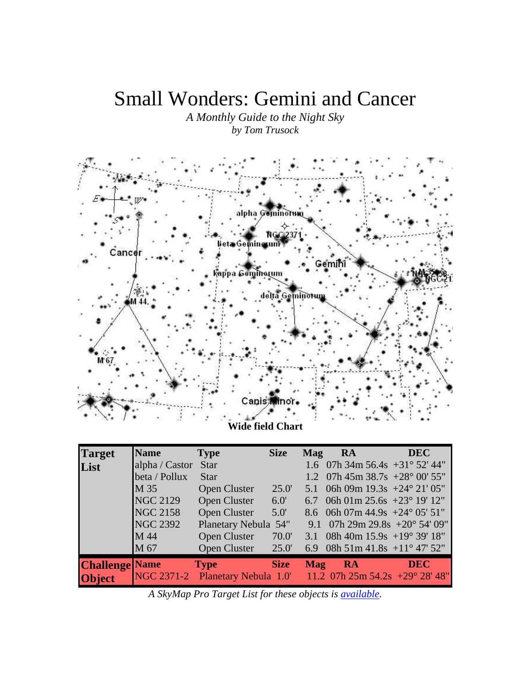# Small Wonders: Gemini and Cancer

*A Monthly Guide to the Night Sky by Tom Trusock* 



| <b>Target</b>         | <b>Name</b>     | <b>Type</b>                                                      | <b>Size</b> | Mag        | RA                                        | <b>DEC</b> |
|-----------------------|-----------------|------------------------------------------------------------------|-------------|------------|-------------------------------------------|------------|
| List                  | alpha / Castor  | <b>Star</b>                                                      |             |            | 1.6 07h 34m 56.4s $+31^{\circ}$ 52' 44"   |            |
|                       | beta / Pollux   | <b>Star</b>                                                      |             |            | 1.2 07h 45m 38.7s +28 $^{\circ}$ 00' 55"  |            |
|                       | M 35            | Open Cluster                                                     | 25.0'       |            | 5.1 06h 09m $19.3s + 24^{\circ} 21' 05''$ |            |
|                       | <b>NGC 2129</b> | Open Cluster                                                     | 6.0'        |            | 6.7 06h 01m 25.6s $+23^{\circ}$ 19' 12"   |            |
|                       | <b>NGC 2158</b> | Open Cluster                                                     | $5.0^\circ$ |            | 8.6 06h 07m 44.9s $+24^{\circ}$ 05' 51"   |            |
|                       | <b>NGC 2392</b> | Planetary Nebula 54"                                             |             |            | 9.1 07h 29m 29.8s $+20^{\circ}$ 54' 09"   |            |
|                       | M 44            | Open Cluster                                                     | 70.0'       |            | 3.1 08h 40m 15.9s +19° 39′ 18″            |            |
|                       | M 67            | Open Cluster                                                     | 25.0'       |            | 6.9 08h 51m 41.8s +11° 47' 52"            |            |
| <b>Challenge</b> Name |                 | <b>Type</b>                                                      | <b>Size</b> | <b>Mag</b> | RA                                        | <b>DEC</b> |
| <b>Object</b>         |                 | NGC 2371-2 Planetary Nebula 1.0' 11.2 07h 25m 54.2s +29° 28' 48" |             |            |                                           |            |

*A SkyMap Pro Target List for these objects is available.*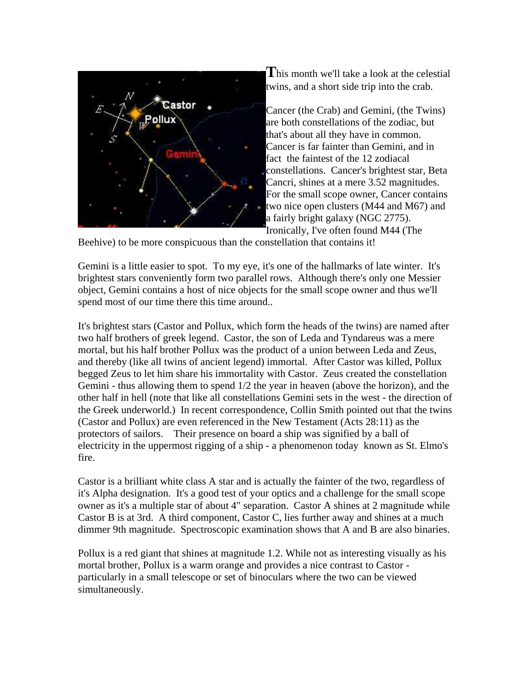

**T**his month we'll take a look at the celestial twins, and a short side trip into the crab.

Cancer (the Crab) and Gemini, (the Twins) are both constellations of the zodiac, but that's about all they have in common. Cancer is far fainter than Gemini, and in fact the faintest of the 12 zodiacal constellations. Cancer's brightest star, Beta Cancri, shines at a mere 3.52 magnitudes. For the small scope owner, Cancer contains two nice open clusters (M44 and M67) and a fairly bright galaxy (NGC 2775). Ironically, I've often found M44 (The

Beehive) to be more conspicuous than the constellation that contains it!

Gemini is a little easier to spot. To my eye, it's one of the hallmarks of late winter. It's brightest stars conveniently form two parallel rows. Although there's only one Messier object, Gemini contains a host of nice objects for the small scope owner and thus we'll spend most of our time there this time around..

It's brightest stars (Castor and Pollux, which form the heads of the twins) are named after two half brothers of greek legend. Castor, the son of Leda and Tyndareus was a mere mortal, but his half brother Pollux was the product of a union between Leda and Zeus, and thereby (like all twins of ancient legend) immortal. After Castor was killed, Pollux begged Zeus to let him share his immortality with Castor. Zeus created the constellation Gemini - thus allowing them to spend 1/2 the year in heaven (above the horizon), and the other half in hell (note that like all constellations Gemini sets in the west - the direction of the Greek underworld.) In recent correspondence, Collin Smith pointed out that the twins (Castor and Pollux) are even referenced in the New Testament (Acts 28:11) as the protectors of sailors. Their presence on board a ship was signified by a ball of electricity in the uppermost rigging of a ship - a phenomenon today known as St. Elmo's fire.

Castor is a brilliant white class A star and is actually the fainter of the two, regardless of it's Alpha designation. It's a good test of your optics and a challenge for the small scope owner as it's a multiple star of about 4" separation. Castor A shines at 2 magnitude while Castor B is at 3rd. A third component, Castor C, lies further away and shines at a much dimmer 9th magnitude. Spectroscopic examination shows that A and B are also binaries.

Pollux is a red giant that shines at magnitude 1.2. While not as interesting visually as his mortal brother, Pollux is a warm orange and provides a nice contrast to Castor particularly in a small telescope or set of binoculars where the two can be viewed simultaneously.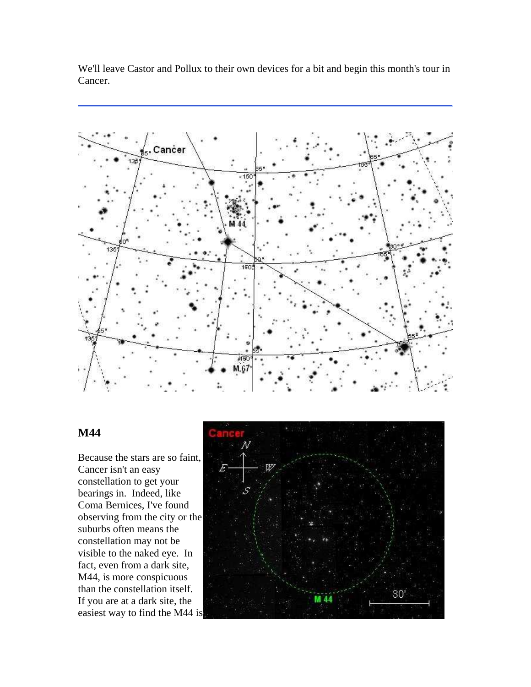We'll leave Castor and Pollux to their own devices for a bit and begin this month's tour in Cancer.



## **M44**

Because the stars are so faint, Cancer isn't an easy constellation to get your bearings in. Indeed, like Coma Bernices, I've found observing from the city or the suburbs often means the constellation may not be visible to the naked eye. In fact, even from a dark site, M44, is more conspicuous than the constellation itself. If you are at a dark site, the easiest way to find the M44 is

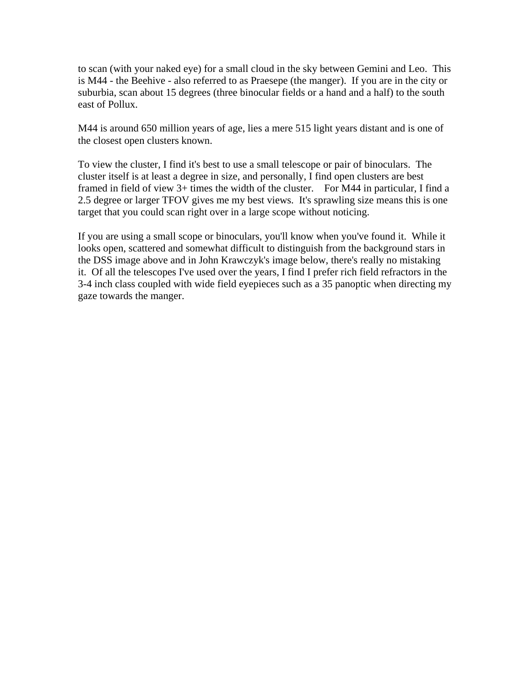to scan (with your naked eye) for a small cloud in the sky between Gemini and Leo. This is M44 - the Beehive - also referred to as Praesepe (the manger). If you are in the city or suburbia, scan about 15 degrees (three binocular fields or a hand and a half) to the south east of Pollux.

M44 is around 650 million years of age, lies a mere 515 light years distant and is one of the closest open clusters known.

To view the cluster, I find it's best to use a small telescope or pair of binoculars. The cluster itself is at least a degree in size, and personally, I find open clusters are best framed in field of view 3+ times the width of the cluster. For M44 in particular, I find a 2.5 degree or larger TFOV gives me my best views. It's sprawling size means this is one target that you could scan right over in a large scope without noticing.

If you are using a small scope or binoculars, you'll know when you've found it. While it looks open, scattered and somewhat difficult to distinguish from the background stars in the DSS image above and in John Krawczyk's image below, there's really no mistaking it. Of all the telescopes I've used over the years, I find I prefer rich field refractors in the 3-4 inch class coupled with wide field eyepieces such as a 35 panoptic when directing my gaze towards the manger.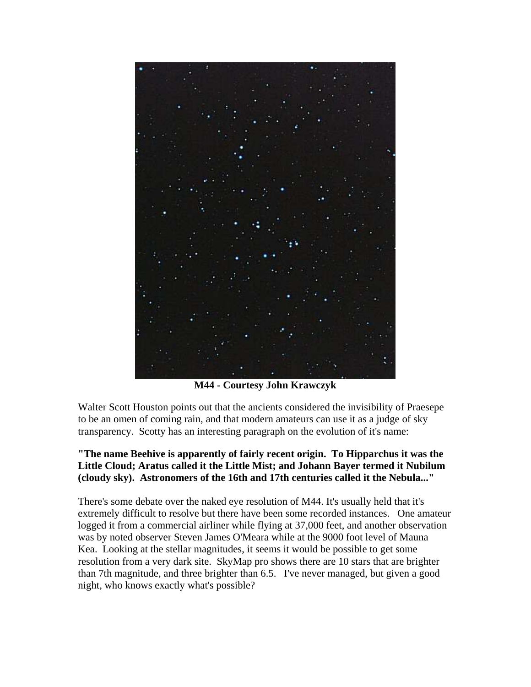

**M44 - Courtesy John Krawczyk**

Walter Scott Houston points out that the ancients considered the invisibility of Praesepe to be an omen of coming rain, and that modern amateurs can use it as a judge of sky transparency. Scotty has an interesting paragraph on the evolution of it's name:

#### **"The name Beehive is apparently of fairly recent origin. To Hipparchus it was the Little Cloud; Aratus called it the Little Mist; and Johann Bayer termed it Nubilum (cloudy sky). Astronomers of the 16th and 17th centuries called it the Nebula..."**

There's some debate over the naked eye resolution of M44. It's usually held that it's extremely difficult to resolve but there have been some recorded instances. One amateur logged it from a commercial airliner while flying at 37,000 feet, and another observation was by noted observer Steven James O'Meara while at the 9000 foot level of Mauna Kea. Looking at the stellar magnitudes, it seems it would be possible to get some resolution from a very dark site. SkyMap pro shows there are 10 stars that are brighter than 7th magnitude, and three brighter than 6.5. I've never managed, but given a good night, who knows exactly what's possible?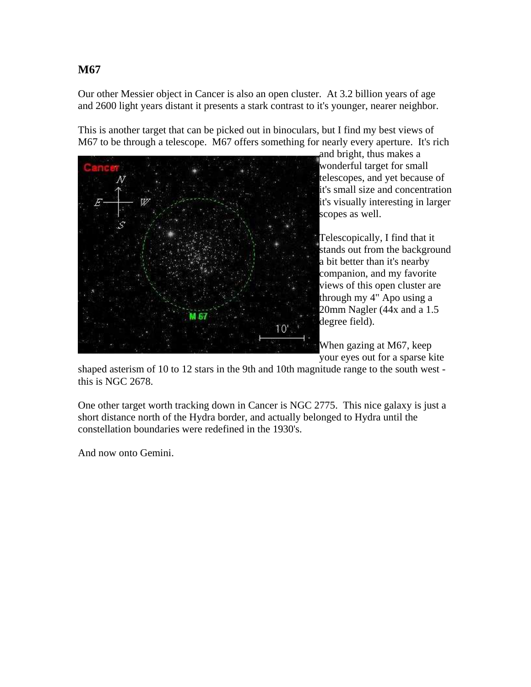Our other Messier object in Cancer is also an open cluster. At 3.2 billion years of age and 2600 light years distant it presents a stark contrast to it's younger, nearer neighbor.

This is another target that can be picked out in binoculars, but I find my best views of M67 to be through a telescope. M67 offers something for nearly every aperture. It's rich



and bright, thus makes a wonderful target for small telescopes, and yet because of it's small size and concentration it's visually interesting in larger scopes as well.

Telescopically, I find that it stands out from the background a bit better than it's nearby companion, and my favorite views of this open cluster are through my 4" Apo using a 20mm Nagler (44x and a 1.5 degree field).

When gazing at M67, keep your eyes out for a sparse kite

shaped asterism of 10 to 12 stars in the 9th and 10th magnitude range to the south west this is NGC 2678.

One other target worth tracking down in Cancer is NGC 2775. This nice galaxy is just a short distance north of the Hydra border, and actually belonged to Hydra until the constellation boundaries were redefined in the 1930's.

And now onto Gemini.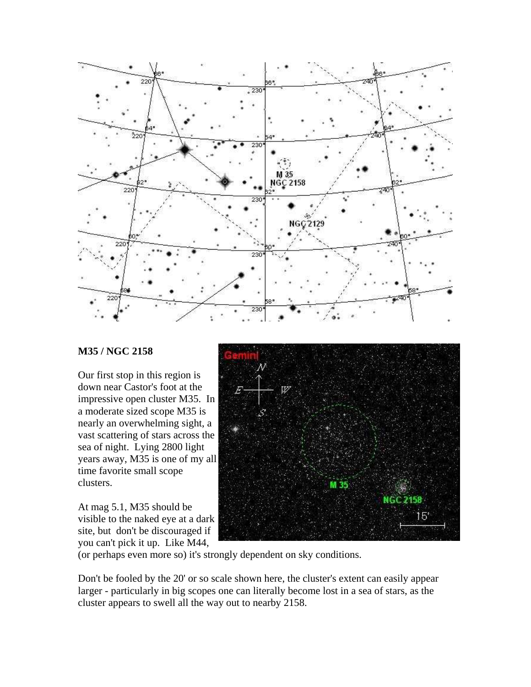

#### **M35 / NGC 2158**

Our first stop in this region is down near Castor's foot at the impressive open cluster M35. In a moderate sized scope M35 is nearly an overwhelming sight, a vast scattering of stars across the sea of night. Lying 2800 light years away, M35 is one of my all time favorite small scope clusters.

At mag 5.1, M35 should be visible to the naked eye at a dark site, but don't be discouraged if you can't pick it up. Like M44,



(or perhaps even more so) it's strongly dependent on sky conditions.

Don't be fooled by the 20' or so scale shown here, the cluster's extent can easily appear larger - particularly in big scopes one can literally become lost in a sea of stars, as the cluster appears to swell all the way out to nearby 2158.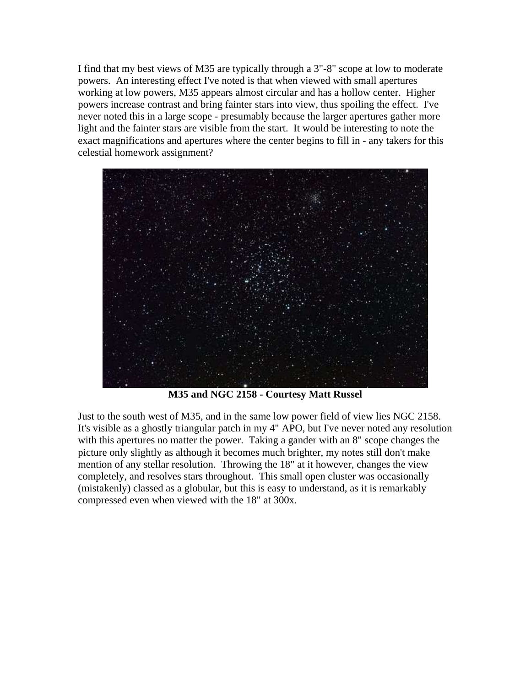I find that my best views of M35 are typically through a 3"-8" scope at low to moderate powers. An interesting effect I've noted is that when viewed with small apertures working at low powers, M35 appears almost circular and has a hollow center. Higher powers increase contrast and bring fainter stars into view, thus spoiling the effect. I've never noted this in a large scope - presumably because the larger apertures gather more light and the fainter stars are visible from the start. It would be interesting to note the exact magnifications and apertures where the center begins to fill in - any takers for this celestial homework assignment?



**M35 and NGC 2158 - Courtesy Matt Russel**

Just to the south west of M35, and in the same low power field of view lies NGC 2158. It's visible as a ghostly triangular patch in my 4" APO, but I've never noted any resolution with this apertures no matter the power. Taking a gander with an 8" scope changes the picture only slightly as although it becomes much brighter, my notes still don't make mention of any stellar resolution. Throwing the 18" at it however, changes the view completely, and resolves stars throughout. This small open cluster was occasionally (mistakenly) classed as a globular, but this is easy to understand, as it is remarkably compressed even when viewed with the 18" at 300x.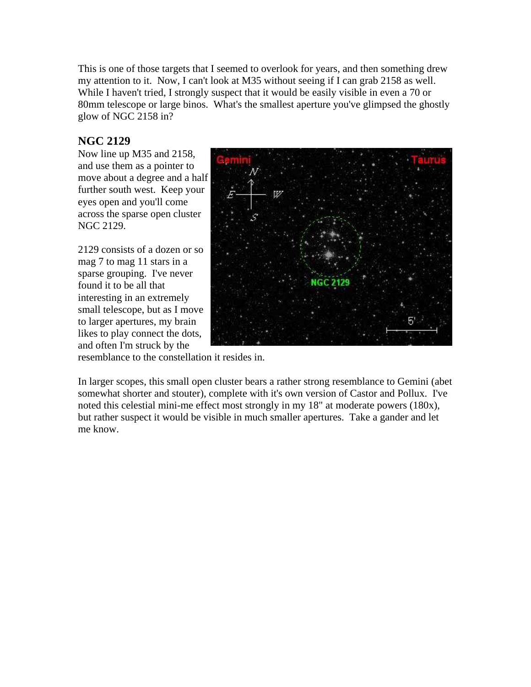This is one of those targets that I seemed to overlook for years, and then something drew my attention to it. Now, I can't look at M35 without seeing if I can grab 2158 as well. While I haven't tried, I strongly suspect that it would be easily visible in even a 70 or 80mm telescope or large binos. What's the smallest aperture you've glimpsed the ghostly glow of NGC 2158 in?

# **NGC 2129**

Now line up M35 and 2158, and use them as a pointer to move about a degree and a half further south west. Keep your eyes open and you'll come across the sparse open cluster NGC 2129.

2129 consists of a dozen or so mag 7 to mag 11 stars in a sparse grouping. I've never found it to be all that interesting in an extremely small telescope, but as I move to larger apertures, my brain likes to play connect the dots, and often I'm struck by the



resemblance to the constellation it resides in.

In larger scopes, this small open cluster bears a rather strong resemblance to Gemini (abet somewhat shorter and stouter), complete with it's own version of Castor and Pollux. I've noted this celestial mini-me effect most strongly in my 18" at moderate powers (180x), but rather suspect it would be visible in much smaller apertures. Take a gander and let me know.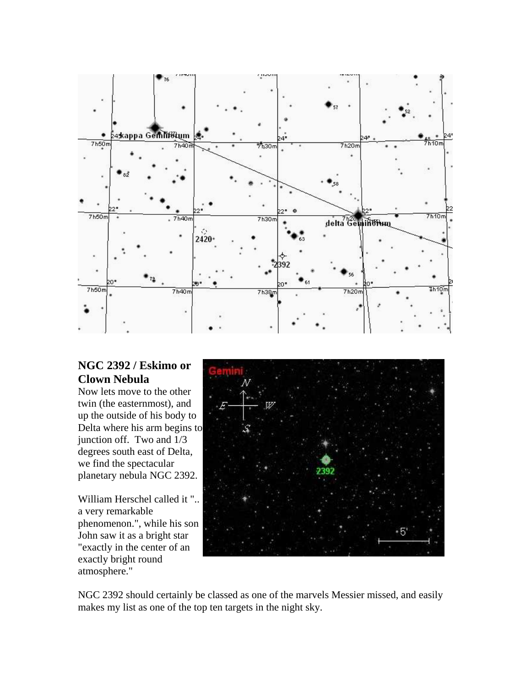

# **NGC 2392 / Eskimo or Clown Nebula**

Now lets move to the other twin (the easternmost), and up the outside of his body to Delta where his arm begins to junction off. Two and 1/3 degrees south east of Delta, we find the spectacular planetary nebula NGC 2392.

William Herschel called it ".. a very remarkable phenomenon.", while his son John saw it as a bright star "exactly in the center of an exactly bright round atmosphere."



NGC 2392 should certainly be classed as one of the marvels Messier missed, and easily makes my list as one of the top ten targets in the night sky.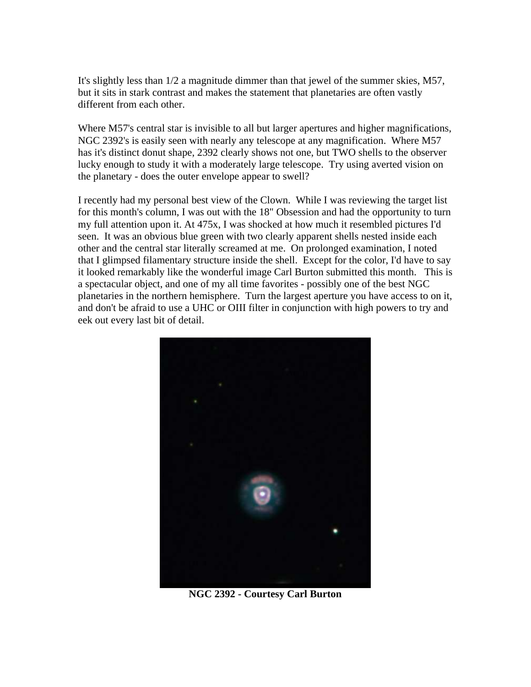It's slightly less than 1/2 a magnitude dimmer than that jewel of the summer skies, M57, but it sits in stark contrast and makes the statement that planetaries are often vastly different from each other.

Where M57's central star is invisible to all but larger apertures and higher magnifications, NGC 2392's is easily seen with nearly any telescope at any magnification. Where M57 has it's distinct donut shape, 2392 clearly shows not one, but TWO shells to the observer lucky enough to study it with a moderately large telescope. Try using averted vision on the planetary - does the outer envelope appear to swell?

I recently had my personal best view of the Clown. While I was reviewing the target list for this month's column, I was out with the 18" Obsession and had the opportunity to turn my full attention upon it. At 475x, I was shocked at how much it resembled pictures I'd seen. It was an obvious blue green with two clearly apparent shells nested inside each other and the central star literally screamed at me. On prolonged examination, I noted that I glimpsed filamentary structure inside the shell. Except for the color, I'd have to say it looked remarkably like the wonderful image Carl Burton submitted this month. This is a spectacular object, and one of my all time favorites - possibly one of the best NGC planetaries in the northern hemisphere. Turn the largest aperture you have access to on it, and don't be afraid to use a UHC or OIII filter in conjunction with high powers to try and eek out every last bit of detail.



**NGC 2392 - Courtesy Carl Burton**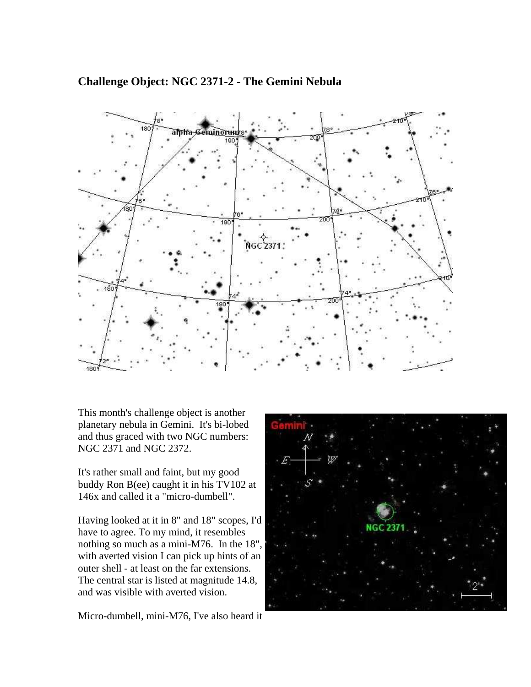## **Challenge Object: NGC 2371-2 - The Gemini Nebula**



This month's challenge object is another planetary nebula in Gemini. It's bi-lobed and thus graced with two NGC numbers: NGC 2371 and NGC 2372.

It's rather small and faint, but my good buddy Ron B(ee) caught it in his TV102 at 146x and called it a "micro-dumbell".

Having looked at it in 8" and 18" scopes, I'd have to agree. To my mind, it resembles nothing so much as a mini-M76. In the 18", with averted vision I can pick up hints of an outer shell - at least on the far extensions. The central star is listed at magnitude 14.8, and was visible with averted vision.

Micro-dumbell, mini-M76, I've also heard it